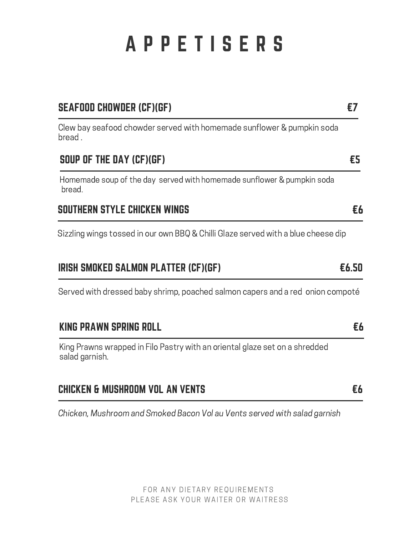# A P P E T I S E R S

| <b>SEAFOOD CHOWDER (CF)(GF)</b>                                                               | £7    |
|-----------------------------------------------------------------------------------------------|-------|
| Clew bay seafood chowder served with homemade sunflower & pumpkin soda<br>bread.              |       |
| SOUP OF THE DAY (CF)(GF)                                                                      | £5    |
| Homemade soup of the day served with homemade sunflower & pumpkin soda<br>bread.              |       |
| SOUTHERN STYLE CHICKEN WINGS                                                                  | £6    |
| Sizzling wings tossed in our own BBQ & Chilli Glaze served with a blue cheese dip             |       |
| <b>IRISH SMOKED SALMON PLATTER (CF)(GF)</b>                                                   | £6.50 |
| Served with dressed baby shrimp, poached salmon capers and a red onion compoté                |       |
| KING PRAWN SPRING ROLL                                                                        | £6    |
| King Prawns wrapped in Filo Pastry with an oriental glaze set on a shredded<br>salad garnish. |       |
| CHICKEN & MUSHROOM VOL AN VENTS                                                               | £6    |
| Chicken, Mushroom and Smoked Bacon Vol au Vents served with salad garnish                     |       |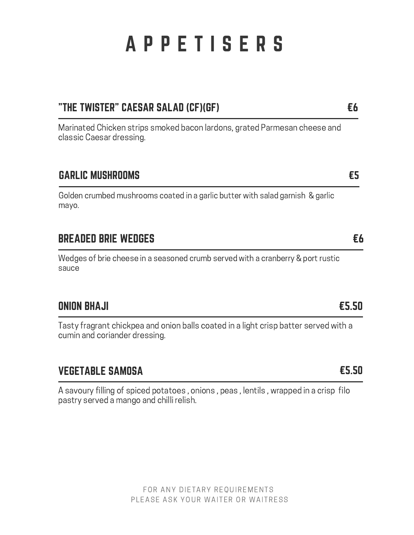# A P P E T I S E R S

#### "THE TWISTER" CAESAR SALAD (CF)(GF)

Marinated Chicken strips smoked bacon lardons, grated Parmesan cheese and classic Caesar dressing.

#### GARLIC MUSHROOMS

Golden crumbed mushrooms coated in a garlic butter with salad garnish & garlic mayo.

#### BREADED BRIE WEDGES

Wedges of brie cheese in a seasoned crumb served with a cranberry & port rustic sauce

#### ONION BHAJI

Tasty fragrant chickpea and onion balls coated in a light crisp batter served with a cumin and coriander dressing.

#### VEGETABLE SAMOSA

A savoury filling of spiced potatoes , onions , peas , lentils , wrapped in a crisp filo pastry served a mango and chilli relish.

#### €5.50

€5.50

### €6

€5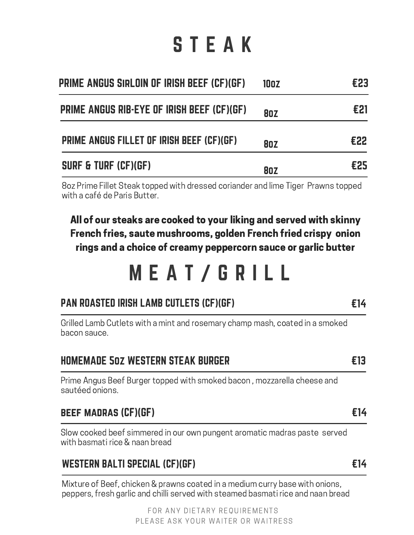# S T E A K

| Prime angus sirloin of Irish Beef (CF)(GF) | 10oz       | €23 |
|--------------------------------------------|------------|-----|
| PRIME ANGUS RIB-EYE OF IRISH BEEF (CF)(GF) | <b>80Z</b> | £21 |
| PRIME ANGUS FILLET OF IRISH BEEF (CF)(GF)  | <b>80Z</b> | £22 |
| <b>SURF &amp; TURF (CF)(GF)</b>            | <b>80Z</b> | £25 |

8oz Prime Fillet Steak topped with dressed coriander and lime Tiger Prawns topped with a café de Paris Butter.

All of our steaks are cooked to your liking and served with skinny French fries, saute mushrooms, golden French fried crispy onion rings and a choice of creamy peppercorn sauce or garlic butter

## M E A T / G R I L L

€14

€13

€14

€14

#### PAN ROASTED IRISH LAMB CUTLETS (CF)(GF)

Grilled Lamb Cutlets with a mint and rosemary champ mash, coated in a smoked bacon sauce.

Prime Angus Beef Burger topped with smoked bacon , mozzarella cheese and sautéed onions.

#### beef madras (CF)(GF)

Slow cooked beef simmered in our own pungent aromatic madras paste served with basmati rice & naan bread

#### WESTERN BALTI SPECIAL (CF)(GF)

Mixture of Beef, chicken & prawns coated in a medium curry base with onions, peppers, fresh garlic and chilli served with steamed basmati rice and naan bread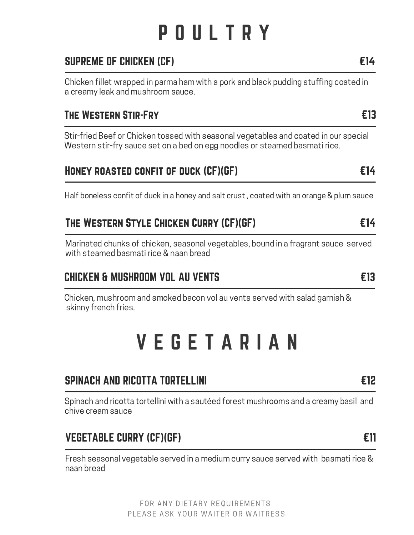# P O U L T R Y

### SUPREME OF CHICKEN (CF)

Chicken fillet wrapped in parma ham with a pork and black pudding stuffing coated in a creamy leak and mushroom sauce.

#### The Western Stir-Fry

Stir-fried Beef or Chicken tossed with seasonal vegetables and coated in our special Western stir-fry sauce set on a bed on egg noodles or steamed basmati rice.

#### Honey roasted confit of duck (CF)(GF)

Half boneless confit of duck in a honey and salt crust , coated with an orange & plum sauce

#### The Western Style Chicken Curry (CF)(GF)

Marinated chunks of chicken, seasonal vegetables, bound in a fragrant sauce served with steamed basmati rice & naan bread

#### CHICKEN & MUSHROOM VOL AU VENTS

Chicken, mushroom and smoked bacon vol au vents served with salad garnish & skinny french fries.

### V E G E T A R I A N

#### SPINACH AND RICOTTA TORTELLINI

Spinach and ricotta tortellini with a sautéed forest mushrooms and a creamy basil and chive cream sauce

#### VEGETABLE CURRY (CF)(GF)

Fresh seasonal vegetable served in a medium curry sauce served with basmati rice & naan bread

€12

#### €11

### €14

€13

€14

€13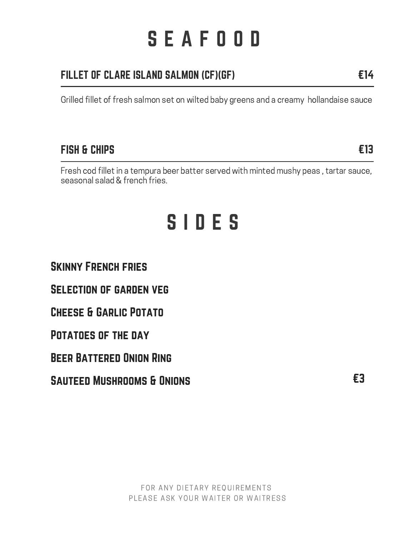# S E A F O O D

### FILLET OF CLARE ISLAND SALMON (CF)(GF)

Grilled fillet of fresh salmon set on wilted baby greens and a creamy hollandaise sauce

#### FISH & CHIPS

Fresh cod fillet in a tempura beer batter served with minted mushy peas , tartar sauce, seasonal salad & french fries.

### S I D E S

Skinny French fries

Selection of garden veg

#### Cheese & Garlic Potato

#### Potatoes of the day

Beer Battered Onion Ring

SAUTEED MUSHROOMS & ONIONS **EXAMPLE EXAMPLE E3**